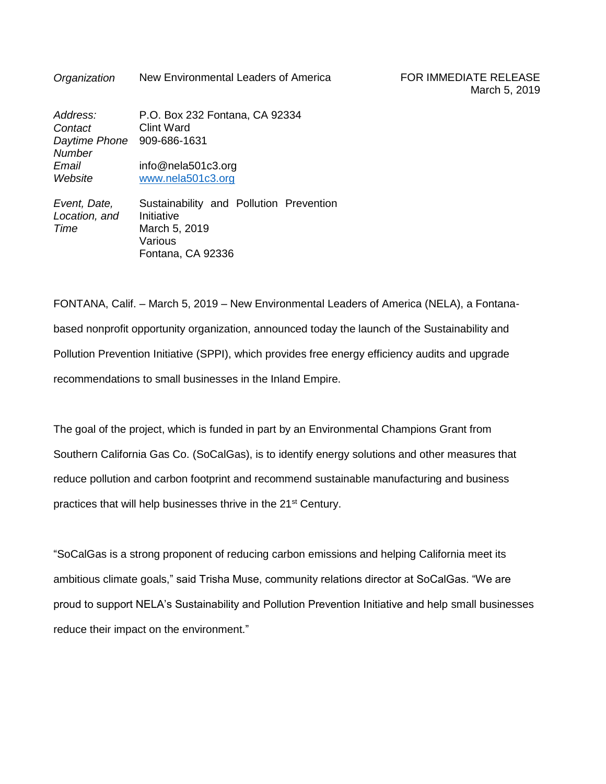**Organization** New Environmental Leaders of America FOR IMMEDIATE RELEASE

| Address:<br>Contact<br>Daytime Phone 909-686-1631<br><b>Number</b> | P.O. Box 232 Fontana, CA 92334<br><b>Clint Ward</b> |
|--------------------------------------------------------------------|-----------------------------------------------------|
| Email<br>Website                                                   | info@nela501c3.org<br>www.nela501c3.org             |
| Event, Date,                                                       | Sustainability and Pollution Preve                  |

*Location, and Time* ntion a Initiative March 5, 2019 Various Fontana, CA 92336

FONTANA, Calif. – March 5, 2019 – New Environmental Leaders of America (NELA), a Fontanabased nonprofit opportunity organization, announced today the launch of the Sustainability and Pollution Prevention Initiative (SPPI), which provides free energy efficiency audits and upgrade recommendations to small businesses in the Inland Empire.

The goal of the project, which is funded in part by an Environmental Champions Grant from Southern California Gas Co. (SoCalGas), is to identify energy solutions and other measures that reduce pollution and carbon footprint and recommend sustainable manufacturing and business practices that will help businesses thrive in the 21<sup>st</sup> Century.

"SoCalGas is a strong proponent of reducing carbon emissions and helping California meet its ambitious climate goals," said Trisha Muse, community relations director at SoCalGas. "We are proud to support NELA's Sustainability and Pollution Prevention Initiative and help small businesses reduce their impact on the environment."